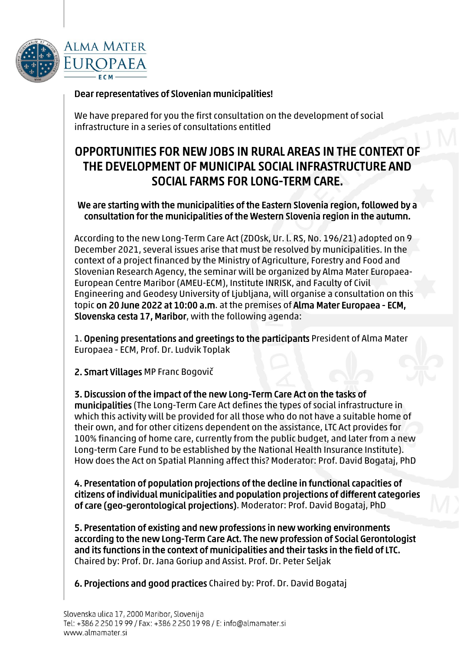

## Dear representatives of Slovenian municipalities!

We have prepared for you the first consultation on the development of social infrastructure in a series of consultations entitled

## OPPORTUNITIES FOR NEW JOBS IN RURAL AREAS IN THE CONTEXT OF THE DEVELOPMENT OF MUNICIPAL SOCIAL INFRASTRUCTURE AND SOCIAL FARMS FOR LONG-TERM CARE.

## We are starting with the municipalities of the Eastern Slovenia region, followed by a consultation for the municipalities of the Western Slovenia region in the autumn.

According to the new Long-Term Care Act (ZDOsk, Ur. l. RS, No. 196/21) adopted on 9 December 2021, several issues arise that must be resolved by municipalities. In the context of a project financed by the Ministry of Agriculture, Forestry and Food and Slovenian Research Agency, the seminar will be organized by Alma Mater Europaea-European Centre Maribor (AMEU-ECM), Institute INRISK, and Faculty of Civil Engineering and Geodesy University of Ljubljana, will organise a consultation on this topic on 20 June 2022 at 10:00 a.m. at the premises of Alma Mater Europaea - ECM, Slovenska cesta 17, Maribor, with the following agenda:

1. Opening presentations and greetings to the participants President of Alma Mater Europaea - ECM, Prof. Dr. Ludvik Toplak

2. Smart Villages MP Franc Bogovič

3. Discussion of the impact of the new Long-Term Care Act on the tasks of municipalities (The Long-Term Care Act defines the types of social infrastructure in which this activity will be provided for all those who do not have a suitable home of their own, and for other citizens dependent on the assistance, LTC Act provides for 100% financing of home care, currently from the public budget, and later from a new Long-term Care Fund to be established by the National Health Insurance Institute). How does the Act on Spatial Planning affect this? Moderator: Prof. David Bogataj, PhD

4. Presentation of population projections of the decline in functional capacities of citizens of individual municipalities and population projections of different categories of care (geo-gerontological projections). Moderator: Prof. David Bogataj, PhD

5. Presentation of existing and new professions in new working environments according to the new Long-Term Care Act. The new profession of Social Gerontologist and its functions in the context of municipalities and their tasks in the field of LTC. Chaired by: Prof. Dr. Jana Goriup and Assist. Prof. Dr. Peter Seljak

6. Projections and good practices Chaired by: Prof. Dr. David Bogataj